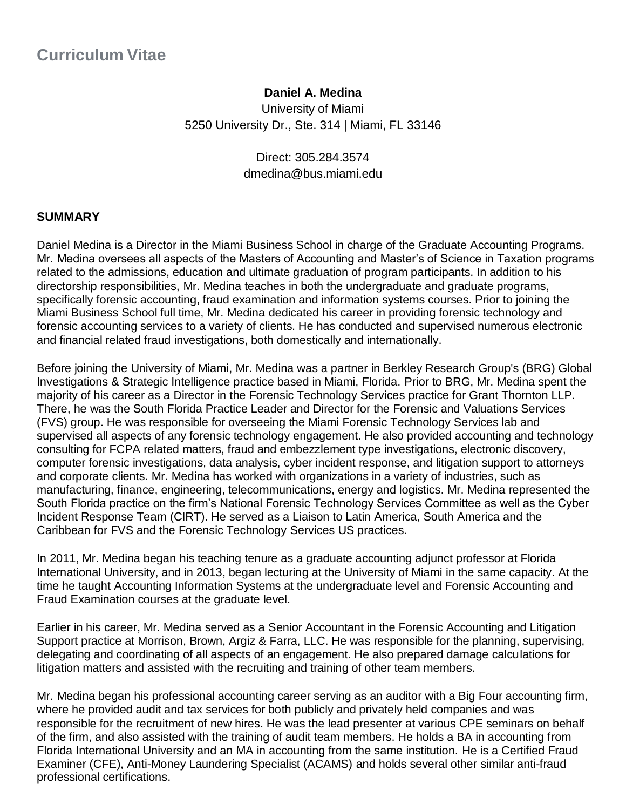## **Daniel A. Medina**

University of Miami 5250 University Dr., Ste. 314 | Miami, FL 33146

> Direct: 305.284.3574 dmedina@bus.miami.edu

#### **SUMMARY**

Daniel Medina is a Director in the Miami Business School in charge of the Graduate Accounting Programs. Mr. Medina oversees all aspects of the Masters of Accounting and Master's of Science in Taxation programs related to the admissions, education and ultimate graduation of program participants. In addition to his directorship responsibilities, Mr. Medina teaches in both the undergraduate and graduate programs, specifically forensic accounting, fraud examination and information systems courses. Prior to joining the Miami Business School full time, Mr. Medina dedicated his career in providing forensic technology and forensic accounting services to a variety of clients. He has conducted and supervised numerous electronic and financial related fraud investigations, both domestically and internationally.

Before joining the University of Miami, Mr. Medina was a partner in Berkley Research Group's (BRG) Global Investigations & Strategic Intelligence practice based in Miami, Florida. Prior to BRG, Mr. Medina spent the majority of his career as a Director in the Forensic Technology Services practice for Grant Thornton LLP. There, he was the South Florida Practice Leader and Director for the Forensic and Valuations Services (FVS) group. He was responsible for overseeing the Miami Forensic Technology Services lab and supervised all aspects of any forensic technology engagement. He also provided accounting and technology consulting for FCPA related matters, fraud and embezzlement type investigations, electronic discovery, computer forensic investigations, data analysis, cyber incident response, and litigation support to attorneys and corporate clients. Mr. Medina has worked with organizations in a variety of industries, such as manufacturing, finance, engineering, telecommunications, energy and logistics. Mr. Medina represented the South Florida practice on the firm's National Forensic Technology Services Committee as well as the Cyber Incident Response Team (CIRT). He served as a Liaison to Latin America, South America and the Caribbean for FVS and the Forensic Technology Services US practices.

In 2011, Mr. Medina began his teaching tenure as a graduate accounting adjunct professor at Florida International University, and in 2013, began lecturing at the University of Miami in the same capacity. At the time he taught Accounting Information Systems at the undergraduate level and Forensic Accounting and Fraud Examination courses at the graduate level.

Earlier in his career, Mr. Medina served as a Senior Accountant in the Forensic Accounting and Litigation Support practice at Morrison, Brown, Argiz & Farra, LLC. He was responsible for the planning, supervising, delegating and coordinating of all aspects of an engagement. He also prepared damage calculations for litigation matters and assisted with the recruiting and training of other team members.

Mr. Medina began his professional accounting career serving as an auditor with a Big Four accounting firm, where he provided audit and tax services for both publicly and privately held companies and was responsible for the recruitment of new hires. He was the lead presenter at various CPE seminars on behalf of the firm, and also assisted with the training of audit team members. He holds a BA in accounting from Florida International University and an MA in accounting from the same institution. He is a Certified Fraud Examiner (CFE), Anti-Money Laundering Specialist (ACAMS) and holds several other similar anti-fraud professional certifications.